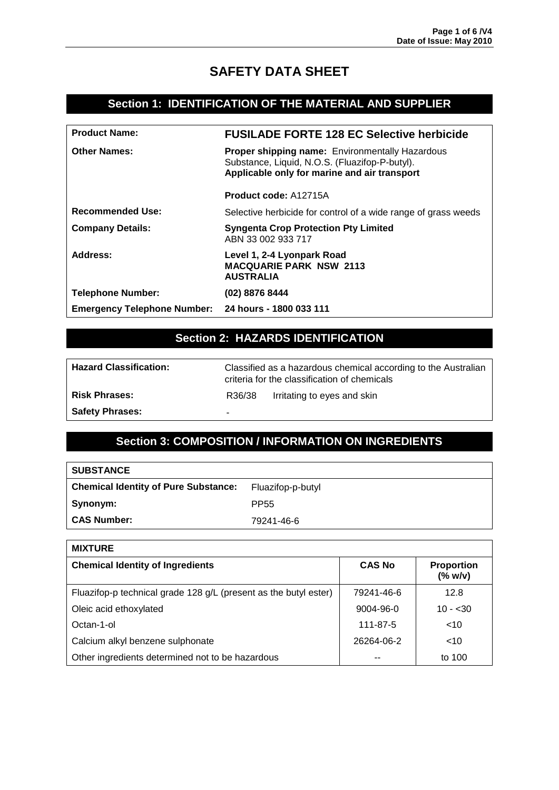# **SAFETY DATA SHEET**

## **Section 1: IDENTIFICATION OF THE MATERIAL AND SUPPLIER**

| <b>Product Name:</b>               | <b>FUSILADE FORTE 128 EC Selective herbicide</b>                                                                                                         |
|------------------------------------|----------------------------------------------------------------------------------------------------------------------------------------------------------|
| <b>Other Names:</b>                | <b>Proper shipping name: Environmentally Hazardous</b><br>Substance, Liquid, N.O.S. (Fluazifop-P-butyl).<br>Applicable only for marine and air transport |
|                                    | <b>Product code: A12715A</b>                                                                                                                             |
| <b>Recommended Use:</b>            | Selective herbicide for control of a wide range of grass weeds                                                                                           |
| <b>Company Details:</b>            | <b>Syngenta Crop Protection Pty Limited</b><br>ABN 33 002 933 717                                                                                        |
| Address:                           | Level 1, 2-4 Lyonpark Road<br><b>MACQUARIE PARK NSW 2113</b><br><b>AUSTRALIA</b>                                                                         |
| <b>Telephone Number:</b>           | (02) 8876 8444                                                                                                                                           |
| <b>Emergency Telephone Number:</b> | 24 hours - 1800 033 111                                                                                                                                  |

# **Section 2: HAZARDS IDENTIFICATION**

| <b>Hazard Classification:</b> | Classified as a hazardous chemical according to the Australian<br>criteria for the classification of chemicals |                             |
|-------------------------------|----------------------------------------------------------------------------------------------------------------|-----------------------------|
| <b>Risk Phrases:</b>          | R36/38                                                                                                         | Irritating to eyes and skin |
| <b>Safety Phrases:</b>        |                                                                                                                |                             |

# **Section 3: COMPOSITION / INFORMATION ON INGREDIENTS**

| <b>SUBSTANCE</b>                            |                   |
|---------------------------------------------|-------------------|
| <b>Chemical Identity of Pure Substance:</b> | Fluazifop-p-butyl |
| Synonym:                                    | PP <sub>55</sub>  |
| <b>CAS Number:</b>                          | 79241-46-6        |

| <b>MIXTURE</b>                                                   |               |                                   |
|------------------------------------------------------------------|---------------|-----------------------------------|
| <b>Chemical Identity of Ingredients</b>                          | <b>CAS No</b> | <b>Proportion</b><br>$(%$ (% w/v) |
| Fluazifop-p technical grade 128 g/L (present as the butyl ester) | 79241-46-6    | 12.8                              |
| Oleic acid ethoxylated                                           | 9004-96-0     | $10 - 30$                         |
| Octan-1-ol                                                       | 111-87-5      | $~<$ 10                           |
| Calcium alkyl benzene sulphonate                                 | 26264-06-2    | $<$ 10                            |
| Other ingredients determined not to be hazardous                 | --            | to 100                            |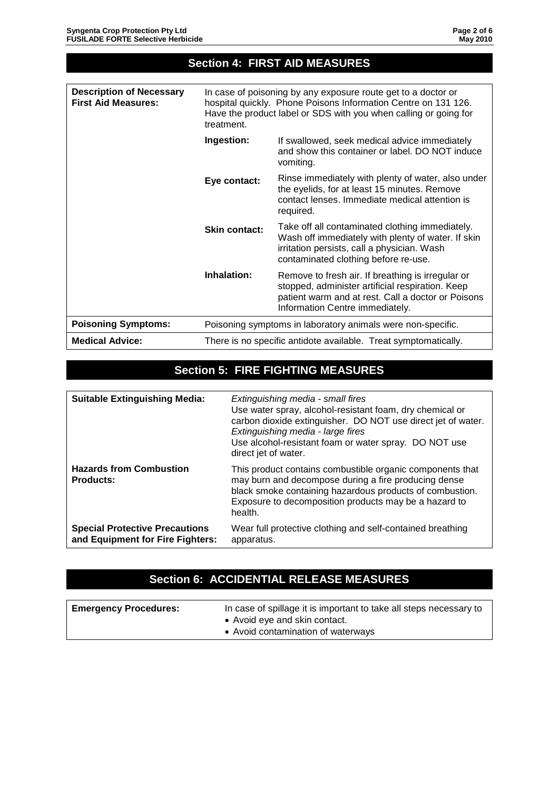|                                                               |                                                                                                                                                                                                                   | <b>Section 4: FIRST AID MEASURES</b>                                                                                                                                                           |
|---------------------------------------------------------------|-------------------------------------------------------------------------------------------------------------------------------------------------------------------------------------------------------------------|------------------------------------------------------------------------------------------------------------------------------------------------------------------------------------------------|
|                                                               |                                                                                                                                                                                                                   |                                                                                                                                                                                                |
| <b>Description of Necessary</b><br><b>First Aid Measures:</b> | In case of poisoning by any exposure route get to a doctor or<br>hospital quickly. Phone Poisons Information Centre on 131 126.<br>Have the product label or SDS with you when calling or going for<br>treatment. |                                                                                                                                                                                                |
|                                                               | Ingestion:                                                                                                                                                                                                        | If swallowed, seek medical advice immediately<br>and show this container or label. DO NOT induce<br>vomiting.                                                                                  |
|                                                               | Eye contact:                                                                                                                                                                                                      | Rinse immediately with plenty of water, also under<br>the eyelids, for at least 15 minutes. Remove<br>contact lenses. Immediate medical attention is<br>required.                              |
|                                                               | <b>Skin contact:</b>                                                                                                                                                                                              | Take off all contaminated clothing immediately.<br>Wash off immediately with plenty of water. If skin<br>irritation persists, call a physician. Wash<br>contaminated clothing before re-use.   |
|                                                               | Inhalation:                                                                                                                                                                                                       | Remove to fresh air. If breathing is irregular or<br>stopped, administer artificial respiration. Keep<br>patient warm and at rest. Call a doctor or Poisons<br>Information Centre immediately. |
| <b>Poisoning Symptoms:</b>                                    |                                                                                                                                                                                                                   | Poisoning symptoms in laboratory animals were non-specific.                                                                                                                                    |
| <b>Medical Advice:</b>                                        |                                                                                                                                                                                                                   | There is no specific antidote available. Treat symptomatically.                                                                                                                                |

# **Section 5: FIRE FIGHTING MEASURES**

| <b>Suitable Extinguishing Media:</b>                                      | Extinguishing media - small fires<br>Use water spray, alcohol-resistant foam, dry chemical or<br>carbon dioxide extinguisher. DO NOT use direct jet of water.<br>Extinguishing media - large fires<br>Use alcohol-resistant foam or water spray. DO NOT use<br>direct jet of water. |
|---------------------------------------------------------------------------|-------------------------------------------------------------------------------------------------------------------------------------------------------------------------------------------------------------------------------------------------------------------------------------|
| <b>Hazards from Combustion</b><br><b>Products:</b>                        | This product contains combustible organic components that<br>may burn and decompose during a fire producing dense<br>black smoke containing hazardous products of combustion.<br>Exposure to decomposition products may be a hazard to<br>health.                                   |
| <b>Special Protective Precautions</b><br>and Equipment for Fire Fighters: | Wear full protective clothing and self-contained breathing<br>apparatus.                                                                                                                                                                                                            |

# **Section 6: ACCIDENTIAL RELEASE MEASURES**

| <b>Emergency Procedures:</b> | In case of spillage it is important to take all steps necessary to |
|------------------------------|--------------------------------------------------------------------|
|                              | • Avoid eye and skin contact.                                      |
|                              | • Avoid contamination of waterways                                 |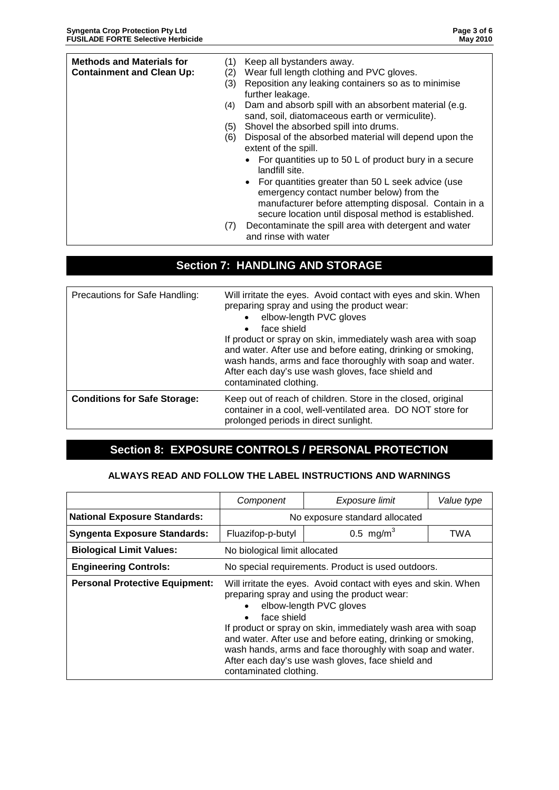| <b>Methods and Materials for</b><br><b>Containment and Clean Up:</b> | (1)<br>(2)<br>(3)<br>(4)<br>(5)<br>(6) | Keep all bystanders away.<br>Wear full length clothing and PVC gloves.<br>Reposition any leaking containers so as to minimise<br>further leakage.<br>Dam and absorb spill with an absorbent material (e.g.<br>sand, soil, diatomaceous earth or vermiculite).<br>Shovel the absorbed spill into drums.<br>Disposal of the absorbed material will depend upon the<br>extent of the spill. |
|----------------------------------------------------------------------|----------------------------------------|------------------------------------------------------------------------------------------------------------------------------------------------------------------------------------------------------------------------------------------------------------------------------------------------------------------------------------------------------------------------------------------|
|                                                                      | (7)                                    | • For quantities up to 50 L of product bury in a secure<br>landfill site.<br>• For quantities greater than 50 L seek advice (use<br>emergency contact number below) from the<br>manufacturer before attempting disposal. Contain in a<br>secure location until disposal method is established.<br>Decontaminate the spill area with detergent and water<br>and rinse with water          |

# **Section 7: HANDLING AND STORAGE**

| Precautions for Safe Handling:      | Will irritate the eyes. Avoid contact with eyes and skin. When<br>preparing spray and using the product wear:<br>elbow-length PVC gloves<br>$\bullet$<br>face shield<br>$\bullet$<br>If product or spray on skin, immediately wash area with soap<br>and water. After use and before eating, drinking or smoking,<br>wash hands, arms and face thoroughly with soap and water.<br>After each day's use wash gloves, face shield and<br>contaminated clothing. |
|-------------------------------------|---------------------------------------------------------------------------------------------------------------------------------------------------------------------------------------------------------------------------------------------------------------------------------------------------------------------------------------------------------------------------------------------------------------------------------------------------------------|
| <b>Conditions for Safe Storage:</b> | Keep out of reach of children. Store in the closed, original<br>container in a cool, well-ventilated area. DO NOT store for<br>prolonged periods in direct sunlight.                                                                                                                                                                                                                                                                                          |

# **Section 8: EXPOSURE CONTROLS / PERSONAL PROTECTION**

#### **ALWAYS READ AND FOLLOW THE LABEL INSTRUCTIONS AND WARNINGS**

|                                       | Component                             | Exposure limit                                                                                                                                                                                                                                                                                                                                                                             | Value type |
|---------------------------------------|---------------------------------------|--------------------------------------------------------------------------------------------------------------------------------------------------------------------------------------------------------------------------------------------------------------------------------------------------------------------------------------------------------------------------------------------|------------|
| <b>National Exposure Standards:</b>   |                                       | No exposure standard allocated                                                                                                                                                                                                                                                                                                                                                             |            |
| <b>Syngenta Exposure Standards:</b>   | Fluazifop-p-butyl                     | 0.5 mg/m <sup>3</sup>                                                                                                                                                                                                                                                                                                                                                                      | TWA        |
| <b>Biological Limit Values:</b>       | No biological limit allocated         |                                                                                                                                                                                                                                                                                                                                                                                            |            |
| <b>Engineering Controls:</b>          |                                       | No special requirements. Product is used outdoors.                                                                                                                                                                                                                                                                                                                                         |            |
| <b>Personal Protective Equipment:</b> | face shield<br>contaminated clothing. | Will irritate the eyes. Avoid contact with eyes and skin. When<br>preparing spray and using the product wear:<br>elbow-length PVC gloves<br>If product or spray on skin, immediately wash area with soap<br>and water. After use and before eating, drinking or smoking,<br>wash hands, arms and face thoroughly with soap and water.<br>After each day's use wash gloves, face shield and |            |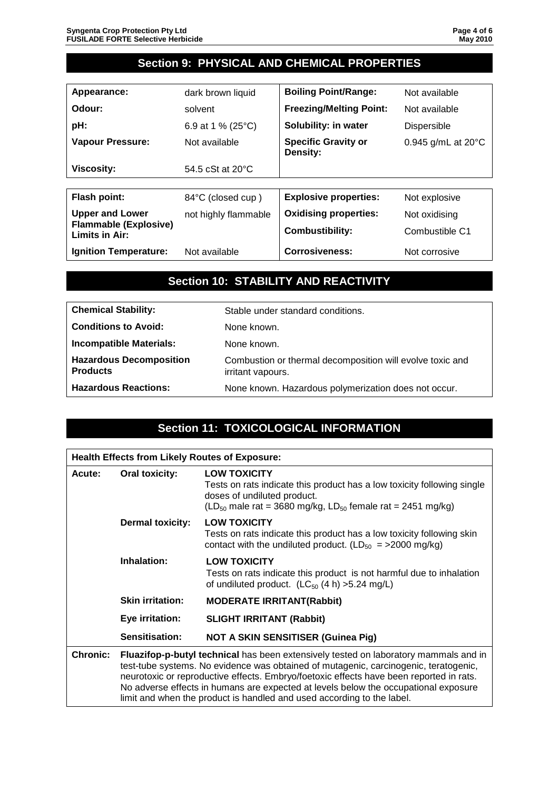### **Section 9: PHYSICAL AND CHEMICAL PROPERTIES**

| Appearance:                                    | dark brown liquid            | <b>Boiling Point/Range:</b>            | Not available                  |
|------------------------------------------------|------------------------------|----------------------------------------|--------------------------------|
| Odour:                                         | solvent                      | <b>Freezing/Melting Point:</b>         | Not available                  |
| pH:                                            | 6.9 at 1 % (25 $^{\circ}$ C) | Solubility: in water                   | <b>Dispersible</b>             |
| <b>Vapour Pressure:</b>                        | Not available                | <b>Specific Gravity or</b><br>Density: | $0.945$ g/mL at $20^{\circ}$ C |
| <b>Viscosity:</b>                              | 54.5 cSt at $20^{\circ}$ C   |                                        |                                |
|                                                |                              |                                        |                                |
| <b>Flash point:</b>                            | 84°C (closed cup)            | <b>Explosive properties:</b>           | Not explosive                  |
| <b>Upper and Lower</b>                         | not highly flammable         | <b>Oxidising properties:</b>           | Not oxidising                  |
| <b>Flammable (Explosive)</b><br>Limits in Air: |                              | <b>Combustibility:</b>                 | Combustible C1                 |
| Ignition Temperature:                          | Not available                | <b>Corrosiveness:</b>                  | Not corrosive                  |

### **Section 10: STABILITY AND REACTIVITY**

| <b>Chemical Stability:</b>                        | Stable under standard conditions.                                              |
|---------------------------------------------------|--------------------------------------------------------------------------------|
| <b>Conditions to Avoid:</b>                       | None known.                                                                    |
| <b>Incompatible Materials:</b>                    | None known.                                                                    |
| <b>Hazardous Decomposition</b><br><b>Products</b> | Combustion or thermal decomposition will evolve toxic and<br>irritant vapours. |
| <b>Hazardous Reactions:</b>                       | None known. Hazardous polymerization does not occur.                           |

## **Section 11: TOXICOLOGICAL INFORMATION**

| <b>Health Effects from Likely Routes of Exposure:</b> |                         |                                                                                                                                                                                                                                                                                                                                                                                                                                          |  |
|-------------------------------------------------------|-------------------------|------------------------------------------------------------------------------------------------------------------------------------------------------------------------------------------------------------------------------------------------------------------------------------------------------------------------------------------------------------------------------------------------------------------------------------------|--|
| Acute:                                                | <b>Oral toxicity:</b>   | <b>LOW TOXICITY</b><br>Tests on rats indicate this product has a low toxicity following single<br>doses of undiluted product.<br>$(LD_{50}$ male rat = 3680 mg/kg, LD <sub>50</sub> female rat = 2451 mg/kg)                                                                                                                                                                                                                             |  |
|                                                       | <b>Dermal toxicity:</b> | <b>LOW TOXICITY</b><br>Tests on rats indicate this product has a low toxicity following skin<br>contact with the undiluted product. $(LD_{50} = 2000 \text{ mg/kg})$                                                                                                                                                                                                                                                                     |  |
|                                                       | Inhalation:             | <b>LOW TOXICITY</b><br>Tests on rats indicate this product is not harmful due to inhalation<br>of undiluted product. $(LC_{50} (4 h) > 5.24 mg/L)$                                                                                                                                                                                                                                                                                       |  |
|                                                       | <b>Skin irritation:</b> | <b>MODERATE IRRITANT(Rabbit)</b>                                                                                                                                                                                                                                                                                                                                                                                                         |  |
|                                                       | Eye irritation:         | <b>SLIGHT IRRITANT (Rabbit)</b>                                                                                                                                                                                                                                                                                                                                                                                                          |  |
|                                                       | Sensitisation:          | <b>NOT A SKIN SENSITISER (Guinea Pig)</b>                                                                                                                                                                                                                                                                                                                                                                                                |  |
| <b>Chronic:</b>                                       |                         | Fluazifop-p-butyl technical has been extensively tested on laboratory mammals and in<br>test-tube systems. No evidence was obtained of mutagenic, carcinogenic, teratogenic,<br>neurotoxic or reproductive effects. Embryo/foetoxic effects have been reported in rats.<br>No adverse effects in humans are expected at levels below the occupational exposure<br>limit and when the product is handled and used according to the label. |  |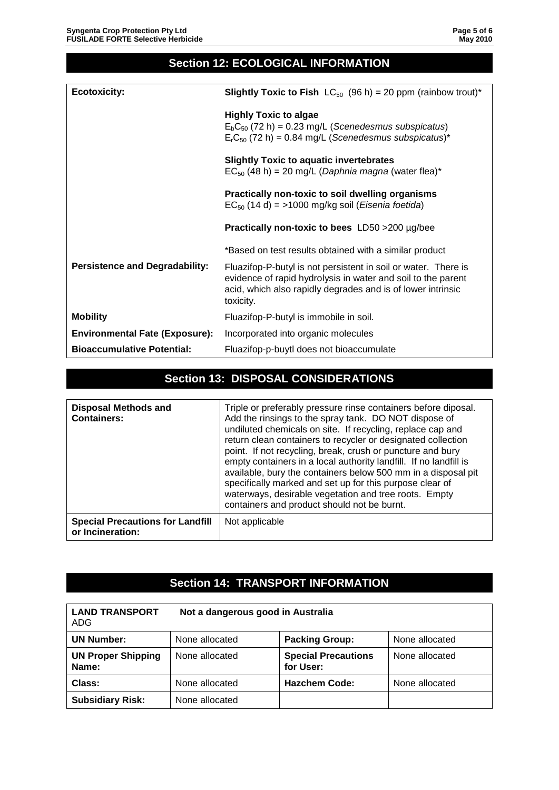| <b>Section 12: ECOLOGICAL INFORMATION</b> |                                                                                                                                                                                                            |  |  |
|-------------------------------------------|------------------------------------------------------------------------------------------------------------------------------------------------------------------------------------------------------------|--|--|
|                                           |                                                                                                                                                                                                            |  |  |
| <b>Ecotoxicity:</b>                       | <b>Slightly Toxic to Fish</b> LC <sub>50</sub> (96 h) = 20 ppm (rainbow trout) <sup>*</sup>                                                                                                                |  |  |
|                                           | <b>Highly Toxic to algae</b><br>$E_b C_{50}$ (72 h) = 0.23 mg/L (Scenedesmus subspicatus)<br>$E1C50$ (72 h) = 0.84 mg/L (Scenedesmus subspicatus)*                                                         |  |  |
|                                           | <b>Slightly Toxic to aquatic invertebrates</b><br>$EC_{50}$ (48 h) = 20 mg/L (Daphnia magna (water flea)*                                                                                                  |  |  |
|                                           | Practically non-toxic to soil dwelling organisms<br>$EC_{50}$ (14 d) = >1000 mg/kg soil ( <i>Eisenia foetida</i> )                                                                                         |  |  |
|                                           | Practically non-toxic to bees LD50 > 200 µg/bee                                                                                                                                                            |  |  |
|                                           | *Based on test results obtained with a similar product                                                                                                                                                     |  |  |
| <b>Persistence and Degradability:</b>     | Fluazifop-P-butyl is not persistent in soil or water. There is<br>evidence of rapid hydrolysis in water and soil to the parent<br>acid, which also rapidly degrades and is of lower intrinsic<br>toxicity. |  |  |
| <b>Mobility</b>                           | Fluazifop-P-butyl is immobile in soil.                                                                                                                                                                     |  |  |
| <b>Environmental Fate (Exposure):</b>     | Incorporated into organic molecules                                                                                                                                                                        |  |  |
| <b>Bioaccumulative Potential:</b>         | Fluazifop-p-buytl does not bioaccumulate                                                                                                                                                                   |  |  |

# **Section 13: DISPOSAL CONSIDERATIONS**

| <b>Disposal Methods and</b><br><b>Containers:</b>           | Triple or preferably pressure rinse containers before diposal.<br>Add the rinsings to the spray tank. DO NOT dispose of<br>undiluted chemicals on site. If recycling, replace cap and<br>return clean containers to recycler or designated collection<br>point. If not recycling, break, crush or puncture and bury<br>empty containers in a local authority landfill. If no landfill is<br>available, bury the containers below 500 mm in a disposal pit<br>specifically marked and set up for this purpose clear of<br>waterways, desirable vegetation and tree roots. Empty<br>containers and product should not be burnt. |
|-------------------------------------------------------------|-------------------------------------------------------------------------------------------------------------------------------------------------------------------------------------------------------------------------------------------------------------------------------------------------------------------------------------------------------------------------------------------------------------------------------------------------------------------------------------------------------------------------------------------------------------------------------------------------------------------------------|
| <b>Special Precautions for Landfill</b><br>or Incineration: | Not applicable                                                                                                                                                                                                                                                                                                                                                                                                                                                                                                                                                                                                                |

## **Section 14: TRANSPORT INFORMATION**

| <b>LAND TRANSPORT</b><br>ADG       | Not a dangerous good in Australia |                                         |                |  |
|------------------------------------|-----------------------------------|-----------------------------------------|----------------|--|
| <b>UN Number:</b>                  | None allocated                    | <b>Packing Group:</b>                   | None allocated |  |
| <b>UN Proper Shipping</b><br>Name: | None allocated                    | <b>Special Precautions</b><br>for User: | None allocated |  |
| Class:                             | None allocated                    | <b>Hazchem Code:</b>                    | None allocated |  |
| <b>Subsidiary Risk:</b>            | None allocated                    |                                         |                |  |